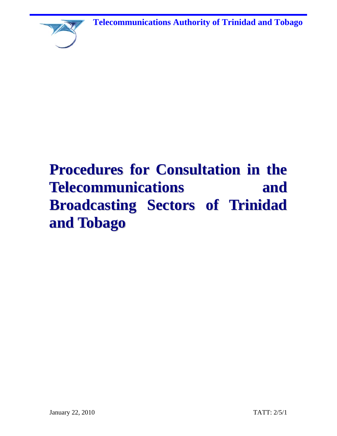**Telecommunications Authority of Trinidad and Tobago**



# **Procedures for Consultation in the Telecommunications and Broadcasting Sectors of Trinidad and Tobago**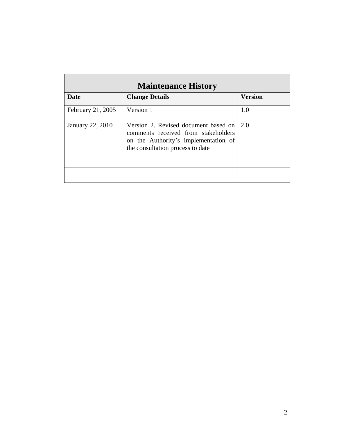| <b>Maintenance History</b> |                                                                                                                                                         |                |  |  |
|----------------------------|---------------------------------------------------------------------------------------------------------------------------------------------------------|----------------|--|--|
| Date                       | <b>Change Details</b>                                                                                                                                   | <b>Version</b> |  |  |
| February 21, 2005          | Version 1                                                                                                                                               | 1.0            |  |  |
| January 22, 2010           | Version 2. Revised document based on<br>comments received from stakeholders<br>on the Authority's implementation of<br>the consultation process to date | 2.0            |  |  |
|                            |                                                                                                                                                         |                |  |  |
|                            |                                                                                                                                                         |                |  |  |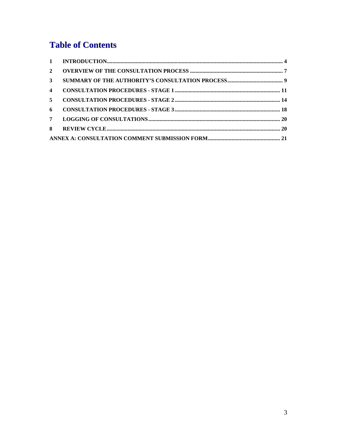# **Table of Contents**

| $\overline{2}$          |  |
|-------------------------|--|
| $\mathbf{3}$            |  |
| $\overline{\mathbf{4}}$ |  |
| 5 <sup>1</sup>          |  |
| 6                       |  |
| $7^{\circ}$             |  |
| 8                       |  |
|                         |  |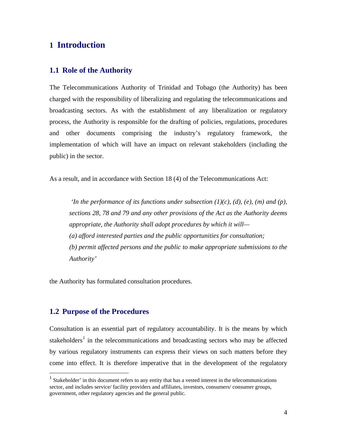# <span id="page-3-0"></span>**1 Introduction**

#### **1.1 Role of the Authority**

The Telecommunications Authority of Trinidad and Tobago (the Authority) has been charged with the responsibility of liberalizing and regulating the telecommunications and broadcasting sectors. As with the establishment of any liberalization or regulatory process, the Authority is responsible for the drafting of policies, regulations, procedures and other documents comprising the industry's regulatory framework, the implementation of which will have an impact on relevant stakeholders (including the public) in the sector.

As a result, and in accordance with Section 18 (4) of the Telecommunications Act:

*'In the performance of its functions under subsection (1)(c), (d), (e), (m) and (p), sections 28, 78 and 79 and any other provisions of the Act as the Authority deems appropriate, the Authority shall adopt procedures by which it will— (a) afford interested parties and the public opportunities for consultation; (b) permit affected persons and the public to make appropriate submissions to the Authority'* 

the Authority has formulated consultation procedures.

#### **1.2 Purpose of the Procedures**

Consultation is an essential part of regulatory accountability. It is the means by which stakeholders<sup>[1](#page-3-1)</sup> in the telecommunications and broadcasting sectors who may be affected by various regulatory instruments can express their views on such matters before they come into effect. It is therefore imperative that in the development of the regulatory

<span id="page-3-1"></span> 1 Stakeholder' in this document refers to any entity that has a vested interest in the telecommunications sector, and includes service/ facility providers and affiliates, investors, consumers/ consumer groups, government, other regulatory agencies and the general public.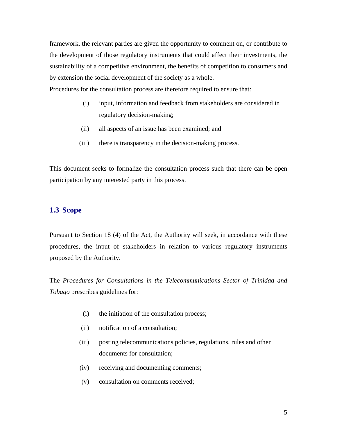framework, the relevant parties are given the opportunity to comment on, or contribute to the development of those regulatory instruments that could affect their investments, the sustainability of a competitive environment, the benefits of competition to consumers and by extension the social development of the society as a whole.

Procedures for the consultation process are therefore required to ensure that:

- (i) input, information and feedback from stakeholders are considered in regulatory decision-making;
- (ii) all aspects of an issue has been examined; and
- (iii) there is transparency in the decision-making process.

This document seeks to formalize the consultation process such that there can be open participation by any interested party in this process.

#### **1.3 Scope**

Pursuant to Section 18 (4) of the Act, the Authority will seek, in accordance with these procedures, the input of stakeholders in relation to various regulatory instruments proposed by the Authority.

The *Procedures for Consultations in the Telecommunications Sector of Trinidad and Tobago* prescribes guidelines for:

- (i) the initiation of the consultation process;
- (ii) notification of a consultation;
- (iii) posting telecommunications policies, regulations, rules and other documents for consultation;
- (iv) receiving and documenting comments;
- (v) consultation on comments received;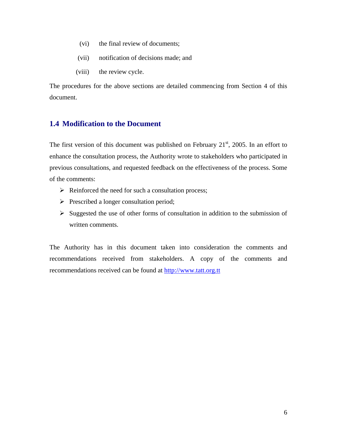- (vi) the final review of documents;
- (vii) notification of decisions made; and
- (viii) the review cycle.

The procedures for the above sections are detailed commencing from Section 4 of this document.

#### **1.4 Modification to the Document**

The first version of this document was published on February  $21<sup>st</sup>$ , 2005. In an effort to enhance the consultation process, the Authority wrote to stakeholders who participated in previous consultations, and requested feedback on the effectiveness of the process. Some of the comments:

- $\triangleright$  Reinforced the need for such a consultation process;
- $\triangleright$  Prescribed a longer consultation period;
- $\triangleright$  Suggested the use of other forms of consultation in addition to the submission of written comments.

The Authority has in this document taken into consideration the comments and recommendations received from stakeholders. A copy of the comments and recommendations received can be found at [http://www.tatt.org.tt](http://www.tatt.org.tt/)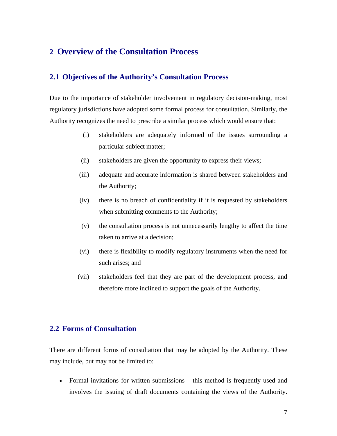## <span id="page-6-0"></span>**2 Overview of the Consultation Process**

### **2.1 Objectives of the Authority's Consultation Process**

Due to the importance of stakeholder involvement in regulatory decision-making, most regulatory jurisdictions have adopted some formal process for consultation. Similarly, the Authority recognizes the need to prescribe a similar process which would ensure that:

- (i) stakeholders are adequately informed of the issues surrounding a particular subject matter;
- (ii) stakeholders are given the opportunity to express their views;
- (iii) adequate and accurate information is shared between stakeholders and the Authority;
- (iv) there is no breach of confidentiality if it is requested by stakeholders when submitting comments to the Authority;
- (v) the consultation process is not unnecessarily lengthy to affect the time taken to arrive at a decision;
- (vi) there is flexibility to modify regulatory instruments when the need for such arises; and
- (vii) stakeholders feel that they are part of the development process, and therefore more inclined to support the goals of the Authority.

#### **2.2 Forms of Consultation**

There are different forms of consultation that may be adopted by the Authority. These may include, but may not be limited to:

• Formal invitations for written submissions – this method is frequently used and involves the issuing of draft documents containing the views of the Authority.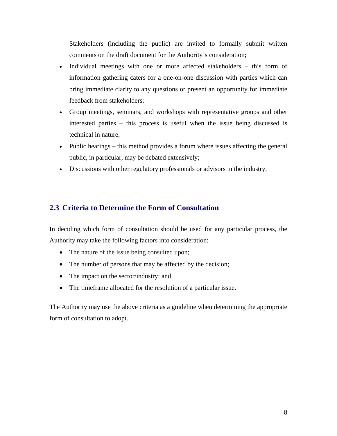Stakeholders (including the public) are invited to formally submit written comments on the draft document for the Authority's consideration;

- Individual meetings with one or more affected stakeholders this form of information gathering caters for a one-on-one discussion with parties which can bring immediate clarity to any questions or present an opportunity for immediate feedback from stakeholders;
- Group meetings, seminars, and workshops with representative groups and other interested parties – this process is useful when the issue being discussed is technical in nature;
- Public hearings this method provides a forum where issues affecting the general public, in particular, may be debated extensively;
- Discussions with other regulatory professionals or advisors in the industry.

## **2.3 Criteria to Determine the Form of Consultation**

In deciding which form of consultation should be used for any particular process, the Authority may take the following factors into consideration:

- The nature of the issue being consulted upon;
- The number of persons that may be affected by the decision;
- The impact on the sector/industry; and
- The timeframe allocated for the resolution of a particular issue.

The Authority may use the above criteria as a guideline when determining the appropriate form of consultation to adopt.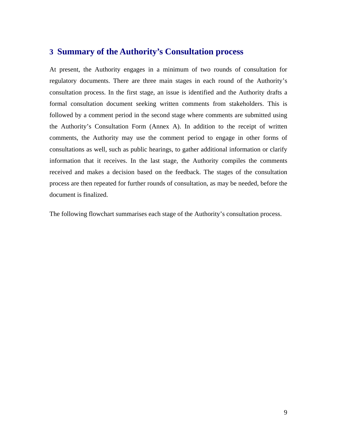# <span id="page-8-0"></span>**3 Summary of the Authority's Consultation process**

At present, the Authority engages in a minimum of two rounds of consultation for regulatory documents. There are three main stages in each round of the Authority's consultation process. In the first stage, an issue is identified and the Authority drafts a formal consultation document seeking written comments from stakeholders. This is followed by a comment period in the second stage where comments are submitted using the Authority's Consultation Form (Annex A). In addition to the receipt of written comments, the Authority may use the comment period to engage in other forms of consultations as well, such as public hearings, to gather additional information or clarify information that it receives. In the last stage, the Authority compiles the comments received and makes a decision based on the feedback. The stages of the consultation process are then repeated for further rounds of consultation, as may be needed, before the document is finalized.

The following flowchart summarises each stage of the Authority's consultation process.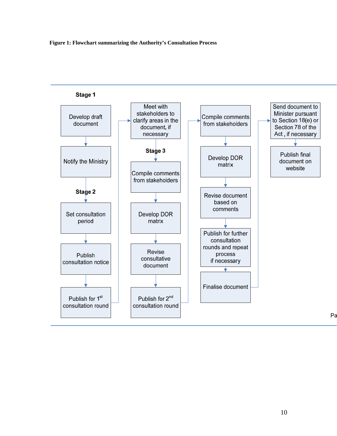

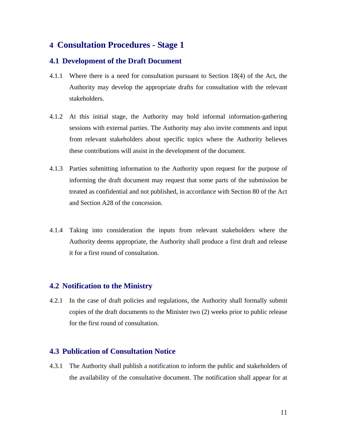# <span id="page-10-0"></span>**4 Consultation Procedures - Stage 1**

#### **4.1 Development of the Draft Document**

- 4.1.1 Where there is a need for consultation pursuant to Section 18(4) of the Act, the Authority may develop the appropriate drafts for consultation with the relevant stakeholders.
- 4.1.2 At this initial stage, the Authority may hold informal information-gathering sessions with external parties. The Authority may also invite comments and input from relevant stakeholders about specific topics where the Authority believes these contributions will assist in the development of the document.
- 4.1.3 Parties submitting information to the Authority upon request for the purpose of informing the draft document may request that some parts of the submission be treated as confidential and not published, in accordance with Section 80 of the Act and Section A28 of the concession.
- 4.1.4 Taking into consideration the inputs from relevant stakeholders where the Authority deems appropriate, the Authority shall produce a first draft and release it for a first round of consultation.

## **4.2 Notification to the Ministry**

4.2.1 In the case of draft policies and regulations, the Authority shall formally submit copies of the draft documents to the Minister two (2) weeks prior to public release for the first round of consultation.

#### **4.3 Publication of Consultation Notice**

4.3.1 The Authority shall publish a notification to inform the public and stakeholders of the availability of the consultative document. The notification shall appear for at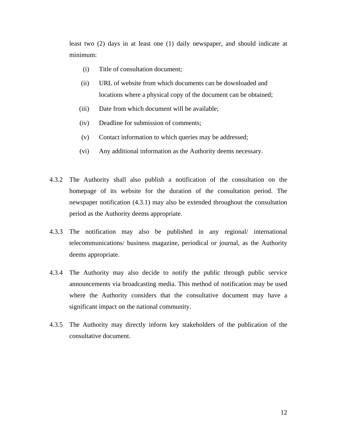least two (2) days in at least one (1) daily newspaper, and should indicate at minimum:

- (i) Title of consultation document;
- (ii) URL of website from which documents can be downloaded and locations where a physical copy of the document can be obtained;
- (iii) Date from which document will be available;
- (iv) Deadline for submission of comments;
- (v) Contact information to which queries may be addressed;
- (vi) Any additional information as the Authority deems necessary.
- 4.3.2 The Authority shall also publish a notification of the consultation on the homepage of its website for the duration of the consultation period. The newspaper notification (4.3.1) may also be extended throughout the consultation period as the Authority deems appropriate.
- 4.3.3 The notification may also be published in any regional/ international telecommunications/ business magazine, periodical or journal, as the Authority deems appropriate.
- 4.3.4 The Authority may also decide to notify the public through public service announcements via broadcasting media. This method of notification may be used where the Authority considers that the consultative document may have a significant impact on the national community.
- 4.3.5 The Authority may directly inform key stakeholders of the publication of the consultative document.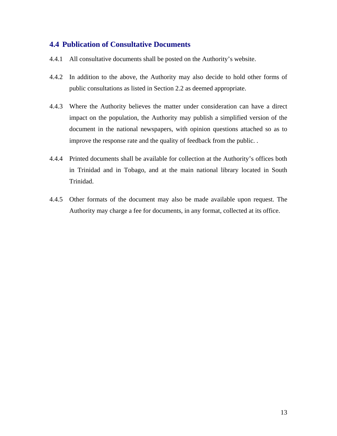#### **4.4 Publication of Consultative Documents**

- 4.4.1 All consultative documents shall be posted on the Authority's website.
- 4.4.2 In addition to the above, the Authority may also decide to hold other forms of public consultations as listed in Section 2.2 as deemed appropriate.
- 4.4.3 Where the Authority believes the matter under consideration can have a direct impact on the population, the Authority may publish a simplified version of the document in the national newspapers, with opinion questions attached so as to improve the response rate and the quality of feedback from the public. .
- 4.4.4 Printed documents shall be available for collection at the Authority's offices both in Trinidad and in Tobago, and at the main national library located in South Trinidad.
- 4.4.5 Other formats of the document may also be made available upon request. The Authority may charge a fee for documents, in any format, collected at its office.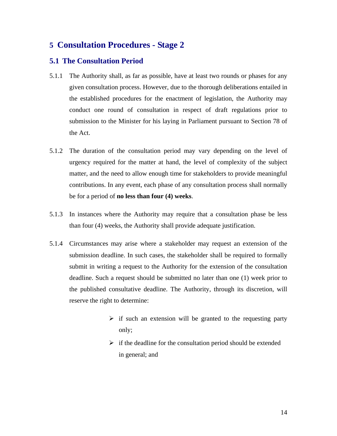# <span id="page-13-0"></span>**5 Consultation Procedures - Stage 2**

#### **5.1 The Consultation Period**

- 5.1.1 The Authority shall, as far as possible, have at least two rounds or phases for any given consultation process. However, due to the thorough deliberations entailed in the established procedures for the enactment of legislation, the Authority may conduct one round of consultation in respect of draft regulations prior to submission to the Minister for his laying in Parliament pursuant to Section 78 of the Act.
- 5.1.2 The duration of the consultation period may vary depending on the level of urgency required for the matter at hand, the level of complexity of the subject matter, and the need to allow enough time for stakeholders to provide meaningful contributions. In any event, each phase of any consultation process shall normally be for a period of **no less than four (4) weeks**.
- 5.1.3 In instances where the Authority may require that a consultation phase be less than four (4) weeks, the Authority shall provide adequate justification.
- 5.1.4 Circumstances may arise where a stakeholder may request an extension of the submission deadline. In such cases, the stakeholder shall be required to formally submit in writing a request to the Authority for the extension of the consultation deadline. Such a request should be submitted no later than one (1) week prior to the published consultative deadline. The Authority, through its discretion, will reserve the right to determine:
	- $\triangleright$  if such an extension will be granted to the requesting party only;
	- $\triangleright$  if the deadline for the consultation period should be extended in general; and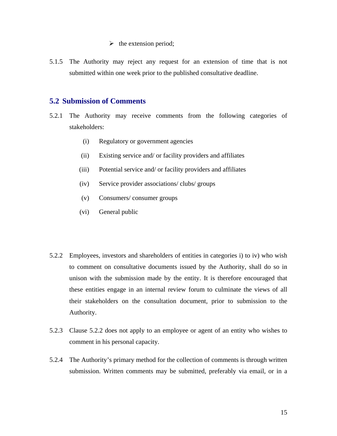- $\triangleright$  the extension period;
- 5.1.5 The Authority may reject any request for an extension of time that is not submitted within one week prior to the published consultative deadline.

#### **5.2 Submission of Comments**

- 5.2.1 The Authority may receive comments from the following categories of stakeholders:
	- (i) Regulatory or government agencies
	- (ii) Existing service and/ or facility providers and affiliates
	- (iii) Potential service and/ or facility providers and affiliates
	- (iv) Service provider associations/ clubs/ groups
	- (v) Consumers/ consumer groups
	- (vi) General public
- 5.2.2 Employees, investors and shareholders of entities in categories i) to iv) who wish to comment on consultative documents issued by the Authority, shall do so in unison with the submission made by the entity. It is therefore encouraged that these entities engage in an internal review forum to culminate the views of all their stakeholders on the consultation document, prior to submission to the Authority.
- 5.2.3 Clause 5.2.2 does not apply to an employee or agent of an entity who wishes to comment in his personal capacity.
- 5.2.4 The Authority's primary method for the collection of comments is through written submission. Written comments may be submitted, preferably via email, or in a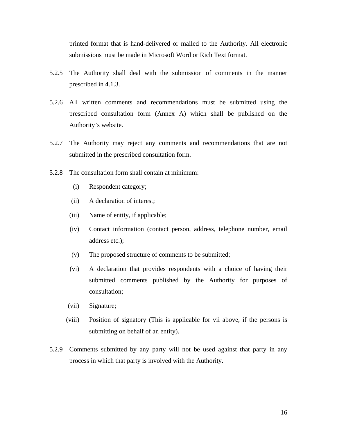printed format that is hand-delivered or mailed to the Authority. All electronic submissions must be made in Microsoft Word or Rich Text format.

- 5.2.5 The Authority shall deal with the submission of comments in the manner prescribed in 4.1.3.
- 5.2.6 All written comments and recommendations must be submitted using the prescribed consultation form (Annex A) which shall be published on the Authority's website.
- 5.2.7 The Authority may reject any comments and recommendations that are not submitted in the prescribed consultation form.
- 5.2.8 The consultation form shall contain at minimum:
	- (i) Respondent category;
	- (ii) A declaration of interest;
	- (iii) Name of entity, if applicable;
	- (iv) Contact information (contact person, address, telephone number, email address etc.);
	- (v) The proposed structure of comments to be submitted;
	- (vi) A declaration that provides respondents with a choice of having their submitted comments published by the Authority for purposes of consultation;
	- (vii) Signature;
	- (viii) Position of signatory (This is applicable for vii above, if the persons is submitting on behalf of an entity).
- 5.2.9 Comments submitted by any party will not be used against that party in any process in which that party is involved with the Authority.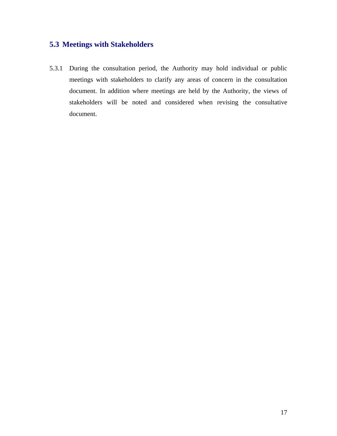# **5.3 Meetings with Stakeholders**

5.3.1 During the consultation period, the Authority may hold individual or public meetings with stakeholders to clarify any areas of concern in the consultation document. In addition where meetings are held by the Authority, the views of stakeholders will be noted and considered when revising the consultative document.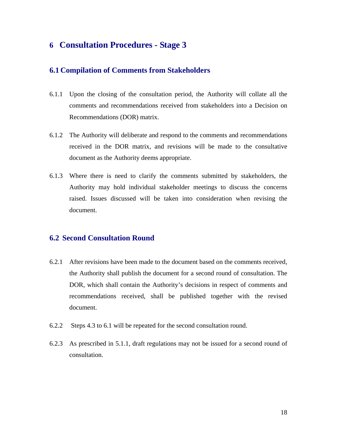# <span id="page-17-0"></span>**6 Consultation Procedures - Stage 3**

#### **6.1 Compilation of Comments from Stakeholders**

- 6.1.1 Upon the closing of the consultation period, the Authority will collate all the comments and recommendations received from stakeholders into a Decision on Recommendations (DOR) matrix.
- 6.1.2 The Authority will deliberate and respond to the comments and recommendations received in the DOR matrix, and revisions will be made to the consultative document as the Authority deems appropriate.
- 6.1.3 Where there is need to clarify the comments submitted by stakeholders, the Authority may hold individual stakeholder meetings to discuss the concerns raised. Issues discussed will be taken into consideration when revising the document.

#### **6.2 Second Consultation Round**

- 6.2.1 After revisions have been made to the document based on the comments received, the Authority shall publish the document for a second round of consultation. The DOR, which shall contain the Authority's decisions in respect of comments and recommendations received, shall be published together with the revised document.
- 6.2.2 Steps 4.3 to 6.1 will be repeated for the second consultation round.
- 6.2.3 As prescribed in 5.1.1, draft regulations may not be issued for a second round of consultation.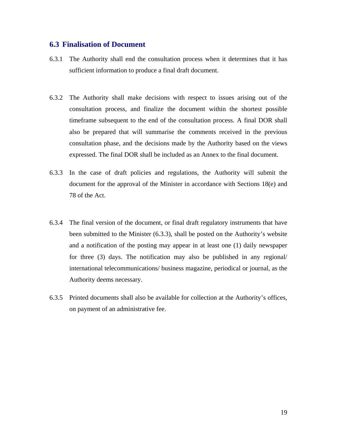#### **6.3 Finalisation of Document**

- 6.3.1 The Authority shall end the consultation process when it determines that it has sufficient information to produce a final draft document.
- 6.3.2 The Authority shall make decisions with respect to issues arising out of the consultation process, and finalize the document within the shortest possible timeframe subsequent to the end of the consultation process. A final DOR shall also be prepared that will summarise the comments received in the previous consultation phase, and the decisions made by the Authority based on the views expressed. The final DOR shall be included as an Annex to the final document.
- 6.3.3 In the case of draft policies and regulations, the Authority will submit the document for the approval of the Minister in accordance with Sections 18(e) and 78 of the Act.
- 6.3.4 The final version of the document, or final draft regulatory instruments that have been submitted to the Minister (6.3.3), shall be posted on the Authority's website and a notification of the posting may appear in at least one (1) daily newspaper for three (3) days. The notification may also be published in any regional/ international telecommunications/ business magazine, periodical or journal, as the Authority deems necessary.
- 6.3.5 Printed documents shall also be available for collection at the Authority's offices, on payment of an administrative fee.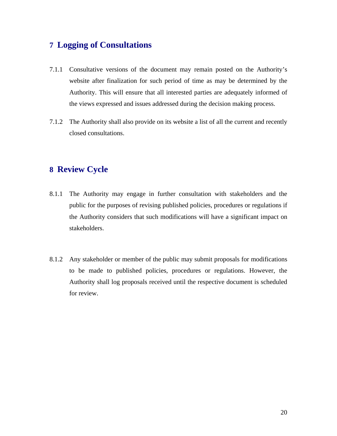# <span id="page-19-0"></span>**7 Logging of Consultations**

- 7.1.1 Consultative versions of the document may remain posted on the Authority's website after finalization for such period of time as may be determined by the Authority. This will ensure that all interested parties are adequately informed of the views expressed and issues addressed during the decision making process.
- 7.1.2 The Authority shall also provide on its website a list of all the current and recently closed consultations.

# **8 Review Cycle**

- 8.1.1 The Authority may engage in further consultation with stakeholders and the public for the purposes of revising published policies, procedures or regulations if the Authority considers that such modifications will have a significant impact on stakeholders.
- 8.1.2 Any stakeholder or member of the public may submit proposals for modifications to be made to published policies, procedures or regulations. However, the Authority shall log proposals received until the respective document is scheduled for review.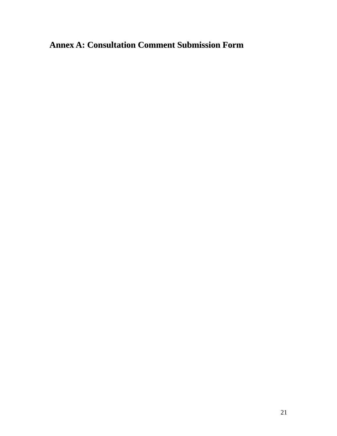# <span id="page-20-0"></span>**Annex A: Consultation Comment Submission Form**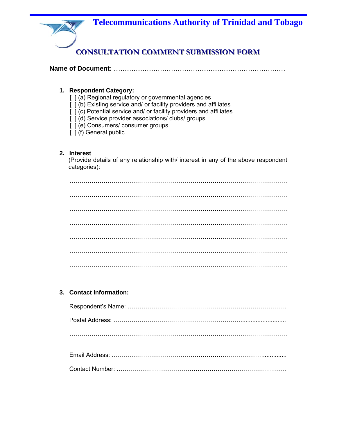

|--|--|

#### **1. Respondent Category:**

- [ ] (a) Regional regulatory or governmental agencies
- [  $j$  (b) Existing service and/ or facility providers and affiliates
- [ ] (c) Potential service and/ or facility providers and affiliates
- [ ] (d) Service provider associations/ clubs/ groups
- [ ] (e) Consumers/ consumer groups
	- [ ] (f) General public

#### **2. Interest**

(Provide details of any relationship with/ interest in any of the above respondent categories):

#### **3. Contact Information:**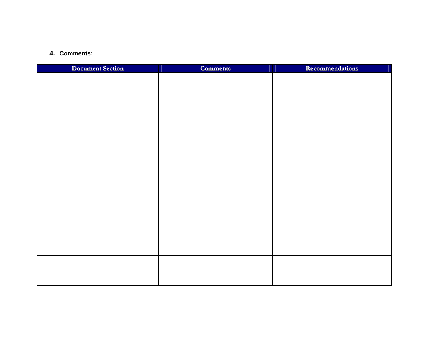#### **4. Comments:**

| <b>Document Section</b> | <b>Comments</b> | <b>Recommendations</b> |
|-------------------------|-----------------|------------------------|
|                         |                 |                        |
|                         |                 |                        |
|                         |                 |                        |
|                         |                 |                        |
|                         |                 |                        |
|                         |                 |                        |
|                         |                 |                        |
|                         |                 |                        |
|                         |                 |                        |
|                         |                 |                        |
|                         |                 |                        |
|                         |                 |                        |
|                         |                 |                        |
|                         |                 |                        |
|                         |                 |                        |
|                         |                 |                        |
|                         |                 |                        |
|                         |                 |                        |
|                         |                 |                        |
|                         |                 |                        |
|                         |                 |                        |
|                         |                 |                        |
|                         |                 |                        |